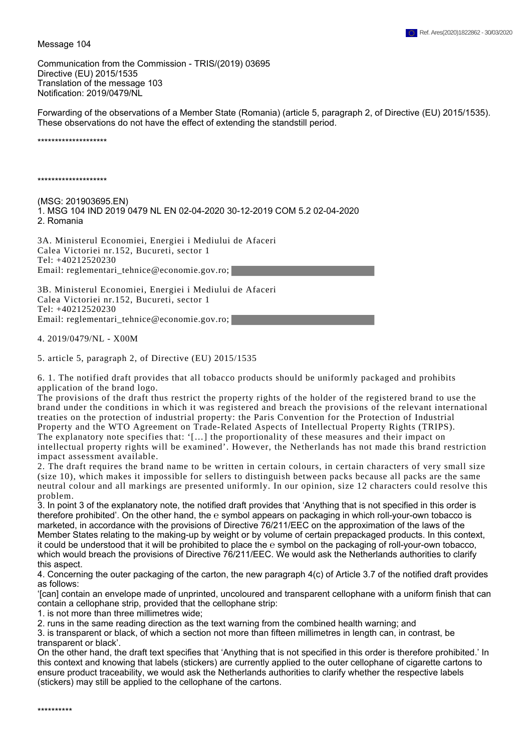Message 104

Communication from the Commission - TRIS/(2019) 03695 Directive (EU) 2015/1535 Translation of the message 103 Notification: 2019/0479/NL

Forwarding of the observations of a Member State (Romania) (article 5, paragraph 2, of Directive (EU) 2015/1535). These observations do not have the effect of extending the standstill period.

\*\*\*\*\*\*\*\*\*\*\*\*\*\*\*\*\*\*\*\*

\*\*\*\*\*\*\*\*\*\*\*\*\*\*\*\*\*\*\*\*

(MSG: 201903695.EN) 1. MSG 104 IND 2019 0479 NL EN 02-04-2020 30-12-2019 COM 5.2 02-04-2020 2. Romania

3A. Ministerul Economiei, Energiei i Mediului de Afaceri Calea Victoriei nr.152, Bucureti, sector 1 Tel: +40212520230 Email: reglementari\_tehnice@economie.gov.ro;

3B. Ministerul Economiei, Energiei i Mediului de Afaceri Calea Victoriei nr.152, Bucureti, sector 1 Tel: +40212520230 Email: reglementari\_tehnice@economie.gov.ro;

4. 2019/0479/NL - X00M

5. article 5, paragraph 2, of Directive (EU) 2015/1535

6. 1. The notified draft provides that all tobacco products should be uniformly packaged and prohibits application of the brand logo.

The provisions of the draft thus restrict the property rights of the holder of the registered brand to use the brand under the conditions in which it was registered and breach the provisions of the relevant international treaties on the protection of industrial property: the Paris Convention for the Protection of Industrial Property and the WTO Agreement on Trade-Related Aspects of Intellectual Property Rights (TRIPS). The explanatory note specifies that: '[…] the proportionality of these measures and their impact on intellectual property rights will be examined'. However, the Netherlands has not made this brand restriction impact assessment available.

2. The draft requires the brand name to be written in certain colours, in certain characters of very small size (size 10), which makes it impossible for sellers to distinguish between packs because all packs are the same neutral colour and all markings are presented uniformly. In our opinion, size 12 characters could resolve this problem.

3. In point 3 of the explanatory note, the notified draft provides that 'Anything that is not specified in this order is therefore prohibited'. On the other hand, the e symbol appears on packaging in which roll-your-own tobacco is marketed, in accordance with the provisions of Directive 76/211/EEC on the approximation of the laws of the Member States relating to the making-up by weight or by volume of certain prepackaged products. In this context, it could be understood that it will be prohibited to place the e symbol on the packaging of roll-your-own tobacco, which would breach the provisions of Directive 76/211/EEC. We would ask the Netherlands authorities to clarify this aspect.

4. Concerning the outer packaging of the carton, the new paragraph 4(c) of Article 3.7 of the notified draft provides as follows:

'[can] contain an envelope made of unprinted, uncoloured and transparent cellophane with a uniform finish that can contain a cellophane strip, provided that the cellophane strip:

1. is not more than three millimetres wide;

2. runs in the same reading direction as the text warning from the combined health warning; and

3. is transparent or black, of which a section not more than fifteen millimetres in length can, in contrast, be transparent or black'.

On the other hand, the draft text specifies that 'Anything that is not specified in this order is therefore prohibited.' In this context and knowing that labels (stickers) are currently applied to the outer cellophane of cigarette cartons to ensure product traceability, we would ask the Netherlands authorities to clarify whether the respective labels (stickers) may still be applied to the cellophane of the cartons.